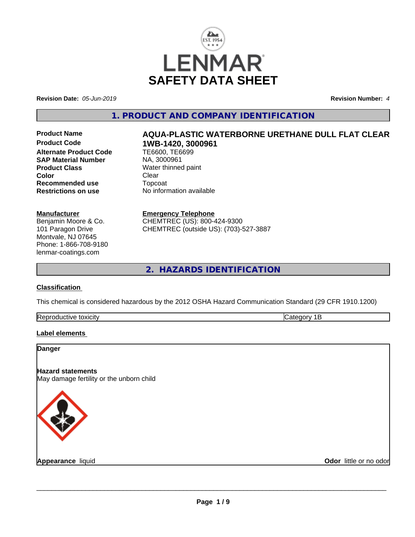

**Revision Date:** *05-Jun-2019* **Revision Number:** *4*

# **1. PRODUCT AND COMPANY IDENTIFICATION**

**Alternate Product Code SAP Material Number** NA, 3000961 **Product Class**<br>
Color
Color
Clear
Clear
Clear
Clear
Clear
Clear
Clear
Clear
Clear
Clear
Clear
Clear
Clear
Clear
Clear
Clear
Clear
Clear
Clear
Clear
Clear
Clear
Clear
Clear
Clear
Clear
Clear
Clear
Clear
Clear
Clear
Clear
C **Color** Clear Clear **Recommended use** Topcoat **Restrictions on use** No information available

#### **Manufacturer**

Benjamin Moore & Co. 101 Paragon Drive Montvale, NJ 07645 Phone: 1-866-708-9180 lenmar-coatings.com

# Product Name **AQUA-PLASTIC WATERBORNE URETHANE DULL FLAT CLEAR**<br>Product Code 1WB-1420, 3000961 **Product Code 1WB-1420, 3000961**

**Emergency Telephone** CHEMTREC (US): 800-424-9300 CHEMTREC (outside US): (703)-527-3887

**2. HAZARDS IDENTIFICATION**

#### **Classification**

This chemical is considered hazardous by the 2012 OSHA Hazard Communication Standard (29 CFR 1910.1200)

| toxicity<br>⊪kenr<br>:TIVE<br>. |  |
|---------------------------------|--|
|                                 |  |

#### **Label elements**

# **Danger Hazard statements** May damage fertility or the unborn child **Appearance** liquid **Odor** little or no odor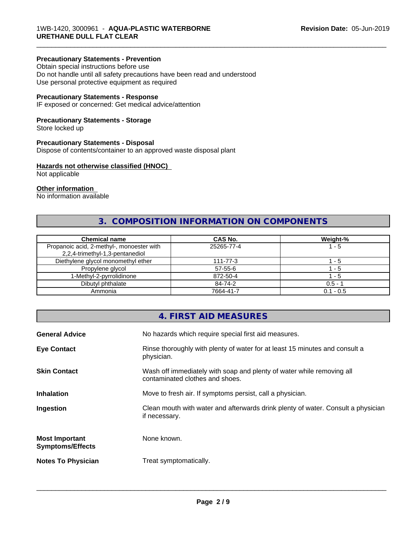#### **Precautionary Statements - Prevention**

Obtain special instructions before use Do not handle until all safety precautions have been read and understood Use personal protective equipment as required

#### **Precautionary Statements - Response**

IF exposed or concerned: Get medical advice/attention

#### **Precautionary Statements - Storage**

Store locked up

#### **Precautionary Statements - Disposal**

Dispose of contents/container to an approved waste disposal plant

#### **Hazards not otherwise classified (HNOC)**

Not applicable

#### **Other information**

No information available

# **3. COMPOSITION INFORMATION ON COMPONENTS**

\_\_\_\_\_\_\_\_\_\_\_\_\_\_\_\_\_\_\_\_\_\_\_\_\_\_\_\_\_\_\_\_\_\_\_\_\_\_\_\_\_\_\_\_\_\_\_\_\_\_\_\_\_\_\_\_\_\_\_\_\_\_\_\_\_\_\_\_\_\_\_\_\_\_\_\_\_\_\_\_\_\_\_\_\_\_\_\_\_\_\_\_\_

| <b>Chemical name</b>                                                         | <b>CAS No.</b> | Weight-%    |
|------------------------------------------------------------------------------|----------------|-------------|
| Propanoic acid, 2-methyl-, monoester with<br>2,2,4-trimethyl-1,3-pentanediol | 25265-77-4     | 1 - 5       |
| Diethylene glycol monomethyl ether                                           | 111-77-3       | - 5         |
| Propylene glycol                                                             | 57-55-6        | - 5         |
| 1-Methyl-2-pyrrolidinone                                                     | 872-50-4       | - 5         |
| Dibutyl phthalate                                                            | 84-74-2        | $0.5 - 1$   |
| Ammonia                                                                      | 7664-41-7      | $0.1 - 0.5$ |

# **4. FIRST AID MEASURES**

| <b>General Advice</b>                            | No hazards which require special first aid measures.                                                     |
|--------------------------------------------------|----------------------------------------------------------------------------------------------------------|
| <b>Eye Contact</b>                               | Rinse thoroughly with plenty of water for at least 15 minutes and consult a<br>physician.                |
| <b>Skin Contact</b>                              | Wash off immediately with soap and plenty of water while removing all<br>contaminated clothes and shoes. |
| <b>Inhalation</b>                                | Move to fresh air. If symptoms persist, call a physician.                                                |
| Ingestion                                        | Clean mouth with water and afterwards drink plenty of water. Consult a physician<br>if necessary.        |
| <b>Most Important</b><br><b>Symptoms/Effects</b> | None known.                                                                                              |
| <b>Notes To Physician</b>                        | Treat symptomatically.                                                                                   |
|                                                  |                                                                                                          |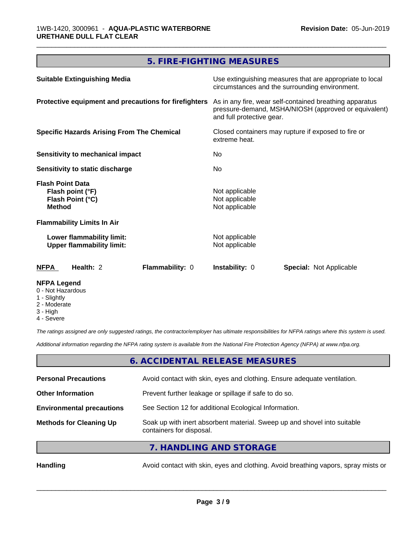# **5. FIRE-FIGHTING MEASURES**

\_\_\_\_\_\_\_\_\_\_\_\_\_\_\_\_\_\_\_\_\_\_\_\_\_\_\_\_\_\_\_\_\_\_\_\_\_\_\_\_\_\_\_\_\_\_\_\_\_\_\_\_\_\_\_\_\_\_\_\_\_\_\_\_\_\_\_\_\_\_\_\_\_\_\_\_\_\_\_\_\_\_\_\_\_\_\_\_\_\_\_\_\_

| <b>Suitable Extinguishing Media</b>                                              | Use extinguishing measures that are appropriate to local<br>circumstances and the surrounding environment.                                                                                                           |  |
|----------------------------------------------------------------------------------|----------------------------------------------------------------------------------------------------------------------------------------------------------------------------------------------------------------------|--|
| Protective equipment and precautions for firefighters                            | As in any fire, wear self-contained breathing apparatus<br>pressure-demand, MSHA/NIOSH (approved or equivalent)<br>and full protective gear.<br>Closed containers may rupture if exposed to fire or<br>extreme heat. |  |
| <b>Specific Hazards Arising From The Chemical</b>                                |                                                                                                                                                                                                                      |  |
| <b>Sensitivity to mechanical impact</b>                                          | No.                                                                                                                                                                                                                  |  |
| Sensitivity to static discharge                                                  | No.                                                                                                                                                                                                                  |  |
| <b>Flash Point Data</b><br>Flash point (°F)<br>Flash Point (°C)<br><b>Method</b> | Not applicable<br>Not applicable<br>Not applicable                                                                                                                                                                   |  |
| <b>Flammability Limits In Air</b>                                                |                                                                                                                                                                                                                      |  |
| Lower flammability limit:<br><b>Upper flammability limit:</b>                    | Not applicable<br>Not applicable                                                                                                                                                                                     |  |
| <b>NFPA</b><br>Flammability: 0<br>Health: 2                                      | <b>Instability: 0</b><br><b>Special: Not Applicable</b>                                                                                                                                                              |  |
| <b>NFPA Legend</b>                                                               |                                                                                                                                                                                                                      |  |

- 0 Not Hazardous
- 1 Slightly
- 2 Moderate
- 3 High
- 4 Severe

*The ratings assigned are only suggested ratings, the contractor/employer has ultimate responsibilities for NFPA ratings where this system is used.*

*Additional information regarding the NFPA rating system is available from the National Fire Protection Agency (NFPA) at www.nfpa.org.*

# **6. ACCIDENTAL RELEASE MEASURES**

| <b>Personal Precautions</b>      | Avoid contact with skin, eyes and clothing. Ensure adequate ventilation.                             |
|----------------------------------|------------------------------------------------------------------------------------------------------|
| <b>Other Information</b>         | Prevent further leakage or spillage if safe to do so.                                                |
| <b>Environmental precautions</b> | See Section 12 for additional Ecological Information.                                                |
| <b>Methods for Cleaning Up</b>   | Soak up with inert absorbent material. Sweep up and shovel into suitable<br>containers for disposal. |
|                                  |                                                                                                      |

**7. HANDLING AND STORAGE**

Handling **Handling** Avoid contact with skin, eyes and clothing. Avoid breathing vapors, spray mists or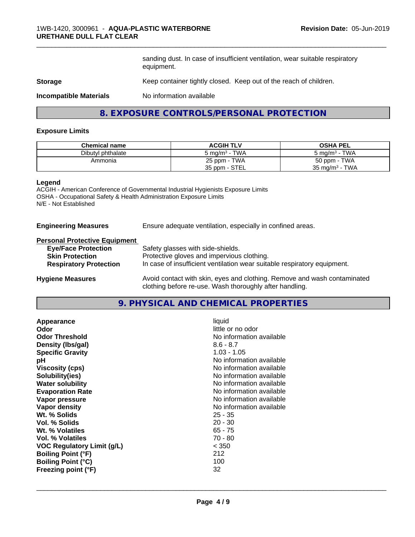sanding dust. In case of insufficient ventilation, wear suitable respiratory equipment.

\_\_\_\_\_\_\_\_\_\_\_\_\_\_\_\_\_\_\_\_\_\_\_\_\_\_\_\_\_\_\_\_\_\_\_\_\_\_\_\_\_\_\_\_\_\_\_\_\_\_\_\_\_\_\_\_\_\_\_\_\_\_\_\_\_\_\_\_\_\_\_\_\_\_\_\_\_\_\_\_\_\_\_\_\_\_\_\_\_\_\_\_\_

#### **Storage** Keep container tightly closed. Keep out of the reach of children.

**Incompatible Materials** No information available

### **8. EXPOSURE CONTROLS/PERSONAL PROTECTION**

#### **Exposure Limits**

| <b>Chemical name</b> | <b>ACGIH TLV</b>                      | <b>OSHA PEL</b>                   |
|----------------------|---------------------------------------|-----------------------------------|
| Dibutyl phthalate    | <b>TWA</b><br>5 mg/m <sup>3</sup> - 1 | TWA<br>$5 \text{ ma/m}^3$ -       |
| Ammonia              | 25 ppm - TWA                          | 50 ppm - TWA                      |
|                      | 35 ppm - STEL                         | TWA<br>35 mg/m <sup>3</sup> - $1$ |

#### **Legend**

ACGIH - American Conference of Governmental Industrial Hygienists Exposure Limits OSHA - Occupational Safety & Health Administration Exposure Limits N/E - Not Established

#### **Engineering Measures** Ensure adequate ventilation, especially in confined areas.

| <b>Personal Protective Equipment</b> |  |
|--------------------------------------|--|
|                                      |  |

| <b>Eye/Face Protection</b>    | Safety glasses with side-shields.                                        |
|-------------------------------|--------------------------------------------------------------------------|
| <b>Skin Protection</b>        | Protective gloves and impervious clothing.                               |
| <b>Respiratory Protection</b> | In case of insufficient ventilation wear suitable respiratory equipment. |
| <b>Hygiene Measures</b>       | Avoid contact with skin, eyes and clothing. Remove and wash contaminated |

clothing before re-use. Wash thoroughly after handling.

**9. PHYSICAL AND CHEMICAL PROPERTIES**

| Appearance                 | liquid                   |
|----------------------------|--------------------------|
| Odor                       | little or no odor        |
| <b>Odor Threshold</b>      | No information available |
| Density (Ibs/gal)          | $8.6 - 8.7$              |
| <b>Specific Gravity</b>    | $1.03 - 1.05$            |
| рH                         | No information available |
| <b>Viscosity (cps)</b>     | No information available |
| Solubility(ies)            | No information available |
| <b>Water solubility</b>    | No information available |
| <b>Evaporation Rate</b>    | No information available |
| Vapor pressure             | No information available |
| Vapor density              | No information available |
| Wt. % Solids               | $25 - 35$                |
| Vol. % Solids              | $20 - 30$                |
| Wt. % Volatiles            | $65 - 75$                |
| Vol. % Volatiles           | 70 - 80                  |
| VOC Regulatory Limit (q/L) | < 350                    |
| <b>Boiling Point (°F)</b>  | 212                      |
| <b>Boiling Point (°C)</b>  | 100                      |
| Freezing point (°F)        | 32                       |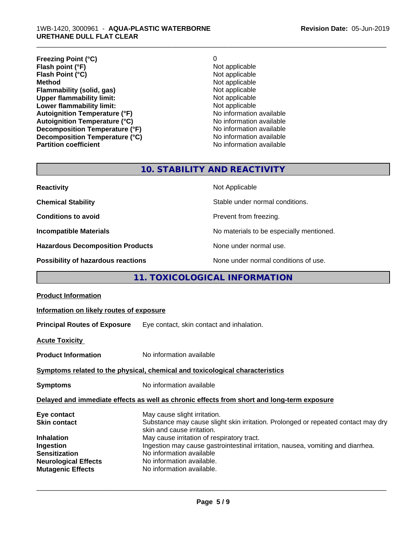#### 1WB-1420, 3000961 - **AQUA-PLASTIC WATERBORNE URETHANE DULL FLAT CLEAR**

| O                        |
|--------------------------|
| Not applicable           |
| Not applicable           |
| Not applicable           |
| Not applicable           |
| Not applicable           |
| Not applicable           |
| No information available |
| No information available |
| No information available |
| No information available |
| No information available |
|                          |

\_\_\_\_\_\_\_\_\_\_\_\_\_\_\_\_\_\_\_\_\_\_\_\_\_\_\_\_\_\_\_\_\_\_\_\_\_\_\_\_\_\_\_\_\_\_\_\_\_\_\_\_\_\_\_\_\_\_\_\_\_\_\_\_\_\_\_\_\_\_\_\_\_\_\_\_\_\_\_\_\_\_\_\_\_\_\_\_\_\_\_\_\_

# **10. STABILITY AND REACTIVITY**

| <b>Reactivity</b>                       | Not Applicable                           |
|-----------------------------------------|------------------------------------------|
| <b>Chemical Stability</b>               | Stable under normal conditions.          |
| <b>Conditions to avoid</b>              | Prevent from freezing.                   |
| <b>Incompatible Materials</b>           | No materials to be especially mentioned. |
| <b>Hazardous Decomposition Products</b> | None under normal use.                   |
| Possibility of hazardous reactions      | None under normal conditions of use.     |

# **11. TOXICOLOGICAL INFORMATION**

| <b>Product Information</b>                                                                   |                                                                                                                                                                                                                                                                                                              |  |
|----------------------------------------------------------------------------------------------|--------------------------------------------------------------------------------------------------------------------------------------------------------------------------------------------------------------------------------------------------------------------------------------------------------------|--|
| Information on likely routes of exposure                                                     |                                                                                                                                                                                                                                                                                                              |  |
| <b>Principal Routes of Exposure</b>                                                          | Eye contact, skin contact and inhalation.                                                                                                                                                                                                                                                                    |  |
| <b>Acute Toxicity</b>                                                                        |                                                                                                                                                                                                                                                                                                              |  |
| <b>Product Information</b>                                                                   | No information available                                                                                                                                                                                                                                                                                     |  |
|                                                                                              | Symptoms related to the physical, chemical and toxicological characteristics                                                                                                                                                                                                                                 |  |
| <b>Symptoms</b>                                                                              | No information available                                                                                                                                                                                                                                                                                     |  |
| Delayed and immediate effects as well as chronic effects from short and long-term exposure   |                                                                                                                                                                                                                                                                                                              |  |
| Eye contact<br><b>Skin contact</b><br><b>Inhalation</b><br>Ingestion<br><b>Sensitization</b> | May cause slight irritation.<br>Substance may cause slight skin irritation. Prolonged or repeated contact may dry<br>skin and cause irritation.<br>May cause irritation of respiratory tract.<br>Ingestion may cause gastrointestinal irritation, nausea, vomiting and diarrhea.<br>No information available |  |
| <b>Neurological Effects</b><br><b>Mutagenic Effects</b>                                      | No information available.<br>No information available.                                                                                                                                                                                                                                                       |  |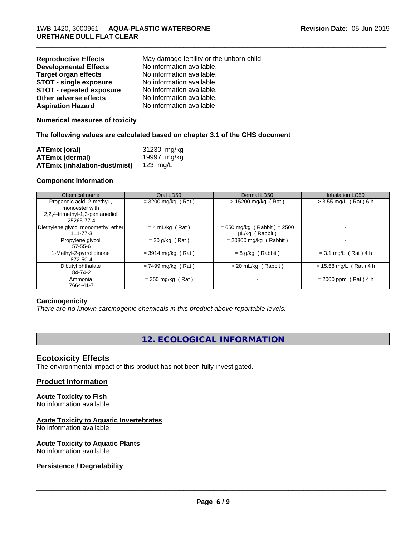| <b>Reproductive Effects</b>     | May damage fertility or the unborn child. |
|---------------------------------|-------------------------------------------|
| <b>Developmental Effects</b>    | No information available.                 |
| <b>Target organ effects</b>     | No information available.                 |
| <b>STOT - single exposure</b>   | No information available.                 |
| <b>STOT - repeated exposure</b> | No information available.                 |
| Other adverse effects           | No information available.                 |
| <b>Aspiration Hazard</b>        | No information available                  |

#### **Numerical measures of toxicity**

#### **The following values are calculated based on chapter 3.1 of the GHS document**

| ATEmix (oral)                        | 31230 mg/kg |
|--------------------------------------|-------------|
| <b>ATEmix (dermal)</b>               | 19997 mg/kg |
| <b>ATEmix (inhalation-dust/mist)</b> | 123 ma/L    |

#### **Component Information**

| Chemical name                      | Oral LD50            | Dermal LD50                   | Inhalation LC50          |
|------------------------------------|----------------------|-------------------------------|--------------------------|
| Propanoic acid, 2-methyl-,         | $=$ 3200 mg/kg (Rat) | $> 15200$ mg/kg (Rat)         | $> 3.55$ mg/L (Rat) 6 h  |
| monoester with                     |                      |                               |                          |
| 2,2,4-trimethyl-1,3-pentanediol    |                      |                               |                          |
| 25265-77-4                         |                      |                               |                          |
| Diethylene glycol monomethyl ether | $= 4$ mL/kg (Rat)    | $= 650$ mg/kg (Rabbit) = 2500 |                          |
| $111 - 77 - 3$                     |                      | µL/kg (Rabbit)                |                          |
| Propylene glycol                   | $= 20$ g/kg (Rat)    | $= 20800$ mg/kg (Rabbit)      |                          |
| $57-55-6$                          |                      |                               |                          |
| 1-Methyl-2-pyrrolidinone           | $= 3914$ mg/kg (Rat) | $= 8$ g/kg (Rabbit)           | $= 3.1$ mg/L (Rat) 4 h   |
| 872-50-4                           |                      |                               |                          |
| Dibutyl phthalate                  | $= 7499$ mg/kg (Rat) | $>$ 20 mL/kg (Rabbit)         | $> 15.68$ mg/L (Rat) 4 h |
| 84-74-2                            |                      |                               |                          |
| Ammonia                            | $=$ 350 mg/kg (Rat)  |                               | $= 2000$ ppm (Rat) 4 h   |
| 7664-41-7                          |                      |                               |                          |

\_\_\_\_\_\_\_\_\_\_\_\_\_\_\_\_\_\_\_\_\_\_\_\_\_\_\_\_\_\_\_\_\_\_\_\_\_\_\_\_\_\_\_\_\_\_\_\_\_\_\_\_\_\_\_\_\_\_\_\_\_\_\_\_\_\_\_\_\_\_\_\_\_\_\_\_\_\_\_\_\_\_\_\_\_\_\_\_\_\_\_\_\_

#### **Carcinogenicity**

*There are no known carcinogenic chemicals in this product above reportable levels.*

# **12. ECOLOGICAL INFORMATION**

#### **Ecotoxicity Effects**

The environmental impact of this product has not been fully investigated.

#### **Product Information**

# **Acute Toxicity to Fish**

No information available

# **Acute Toxicity to Aquatic Invertebrates**

No information available

#### **Acute Toxicity to Aquatic Plants** No information available

#### **Persistence / Degradability**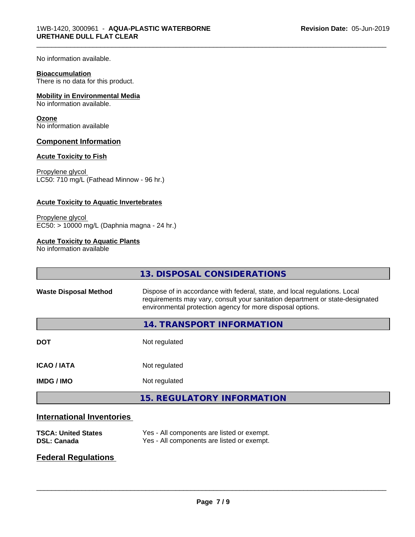No information available.

#### **Bioaccumulation**

There is no data for this product.

#### **Mobility in Environmental Media**

No information available.

#### **Ozone**

No information available

#### **Component Information**

#### **Acute Toxicity to Fish**

Propylene glycol LC50: 710 mg/L (Fathead Minnow - 96 hr.)

#### **Acute Toxicity to Aquatic Invertebrates**

Propylene glycol EC50: > 10000 mg/L (Daphnia magna - 24 hr.)

#### **Acute Toxicity to Aquatic Plants**

No information available

|                              | 13. DISPOSAL CONSIDERATIONS                                                                                                                                                                                               |
|------------------------------|---------------------------------------------------------------------------------------------------------------------------------------------------------------------------------------------------------------------------|
| <b>Waste Disposal Method</b> | Dispose of in accordance with federal, state, and local regulations. Local<br>requirements may vary, consult your sanitation department or state-designated<br>environmental protection agency for more disposal options. |
|                              | 14. TRANSPORT INFORMATION                                                                                                                                                                                                 |
| <b>DOT</b>                   | Not regulated                                                                                                                                                                                                             |
| <b>ICAO / IATA</b>           | Not regulated                                                                                                                                                                                                             |
| <b>IMDG/IMO</b>              | Not regulated                                                                                                                                                                                                             |
|                              | <b>15. REGULATORY INFORMATION</b>                                                                                                                                                                                         |
|                              |                                                                                                                                                                                                                           |

\_\_\_\_\_\_\_\_\_\_\_\_\_\_\_\_\_\_\_\_\_\_\_\_\_\_\_\_\_\_\_\_\_\_\_\_\_\_\_\_\_\_\_\_\_\_\_\_\_\_\_\_\_\_\_\_\_\_\_\_\_\_\_\_\_\_\_\_\_\_\_\_\_\_\_\_\_\_\_\_\_\_\_\_\_\_\_\_\_\_\_\_\_

# **International Inventories**

| <b>TSCA: United States</b> | Yes - All components are listed or exempt. |
|----------------------------|--------------------------------------------|
| DSL: Canada                | Yes - All components are listed or exempt. |

# **Federal Regulations**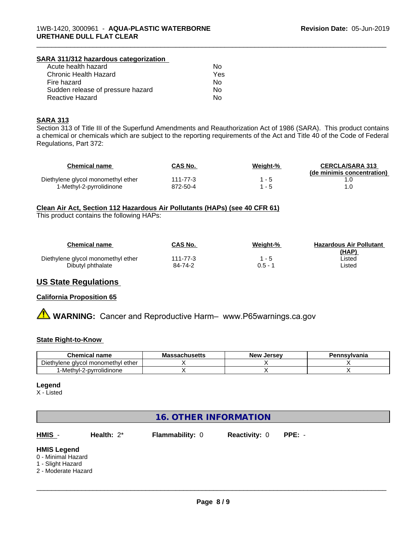#### **SARA 311/312 hazardous categorization**

| Acute health hazard               | Nο  |
|-----------------------------------|-----|
| Chronic Health Hazard             | Yes |
| Fire hazard                       | N٥  |
| Sudden release of pressure hazard | Nο  |
| Reactive Hazard                   | N٥  |

#### **SARA 313**

Section 313 of Title III of the Superfund Amendments and Reauthorization Act of 1986 (SARA). This product contains a chemical or chemicals which are subject to the reporting requirements of the Act and Title 40 of the Code of Federal Regulations, Part 372:

\_\_\_\_\_\_\_\_\_\_\_\_\_\_\_\_\_\_\_\_\_\_\_\_\_\_\_\_\_\_\_\_\_\_\_\_\_\_\_\_\_\_\_\_\_\_\_\_\_\_\_\_\_\_\_\_\_\_\_\_\_\_\_\_\_\_\_\_\_\_\_\_\_\_\_\_\_\_\_\_\_\_\_\_\_\_\_\_\_\_\_\_\_

| Chemical name                      | CAS No.  | Weight-% | <b>CERCLA/SARA 313</b><br>(de minimis concentration) |
|------------------------------------|----------|----------|------------------------------------------------------|
| Diethylene glycol monomethyl ether | 111-77-3 |          |                                                      |
| 1-Methyl-2-pyrrolidinone           | 872-50-4 |          |                                                      |

#### **Clean Air Act,Section 112 Hazardous Air Pollutants (HAPs) (see 40 CFR 61)**

This product contains the following HAPs:

| <b>Chemical name</b>               | CAS No.  | Weight-% | <b>Hazardous Air Pollutant</b> |
|------------------------------------|----------|----------|--------------------------------|
| Diethylene glycol monomethyl ether | 111-77-3 | $1 - 5$  | (HAP)<br>∟isted                |
| Dibutyl phthalate                  | 84-74-2  | 0.5 - 1  | ∟isted                         |

# **US State Regulations**

#### **California Proposition 65**

**A WARNING:** Cancer and Reproductive Harm– www.P65warnings.ca.gov

#### **State Right-to-Know**

| <b>Chemical name</b>                                       | - -<br>sachusetts<br>Mas: | . Jersev<br><b>New</b> | Pennsvlvania |
|------------------------------------------------------------|---------------------------|------------------------|--------------|
| $- \cdot$<br>Diethylene<br>ether<br>I monomethvl<br>alvcol |                           |                        |              |
| '-Methyl-2-pyrrolidinone                                   |                           |                        |              |

#### **Legend**

X - Listed

# **16. OTHER INFORMATION**

**HMIS** - **Health:** 2\* **Flammability:** 0 **Reactivity:** 0 **PPE:** -

#### **HMIS Legend**

- 0 Minimal Hazard
- 1 Slight Hazard
- 2 Moderate Hazard